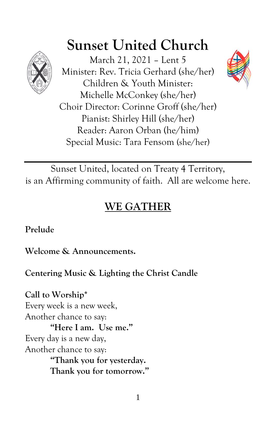

# **Sunset United Church**

March 21, 2021 – Lent 5 Minister: Rev. Tricia Gerhard (she/her) Children & Youth Minister: Michelle McConkey (she/her) Choir Director: Corinne Groff (she/her) Pianist: Shirley Hill (she/her) Reader: Aaron Orban (he/him) Special Music: Tara Fensom (she/her)



Sunset United, located on Treaty 4 Territory, is an Affirming community of faith. All are welcome here.

## **WE GATHER**

**Prelude**

**Welcome & Announcements.**

**Centering Music & Lighting the Christ Candle**

**Call to Worship\*** Every week is a new week, Another chance to say: **"Here I am. Use me."** Every day is a new day, Another chance to say: **"Thank you for yesterday. Thank you for tomorrow."**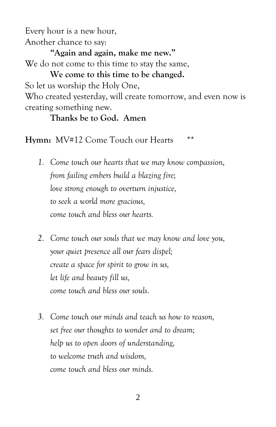Every hour is a new hour, Another chance to say:

**"Again and again, make me new."** We do not come to this time to stay the same,

**We come to this time to be changed.** So let us worship the Holy One, Who created yesterday, will create tomorrow, and even now is creating something new.

#### **Thanks be to God. Amen**

Hymn: MV#12 Come Touch our Hearts \*\*

- *1. Come touch our hearts that we may know compassion, from failing embers build a blazing fire; love strong enough to overturn injustice, to seek a world more gracious, come touch and bless our hearts.*
- *2. Come touch our souls that we may know and love you, your quiet presence all our fears dispel; create a space for spirit to grow in us, let life and beauty fill us, come touch and bless our souls.*
- *3. Come touch our minds and teach us how to reason, set free our thoughts to wonder and to dream; help us to open doors of understanding, to welcome truth and wisdom, come touch and bless our minds.*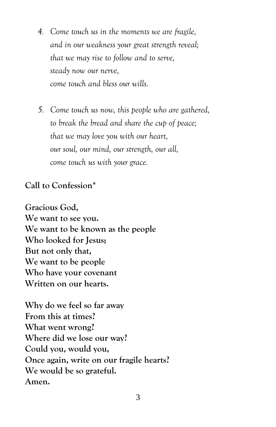- *4. Come touch us in the moments we are fragile, and in our weakness your great strength reveal; that we may rise to follow and to serve, steady now our nerve, come touch and bless our wills.*
- *5. Come touch us now, this people who are gathered, to break the bread and share the cup of peace; that we may love you with our heart, our soul, our mind, our strength, our all, come touch us with your grace.*

**Call to Confession\***

**Gracious God, We want to see you. We want to be known as the people Who looked for Jesus; But not only that, We want to be people Who have your covenant Written on our hearts.**

**Why do we feel so far away From this at times? What went wrong? Where did we lose our way? Could you, would you, Once again, write on our fragile hearts? We would be so grateful. Amen.**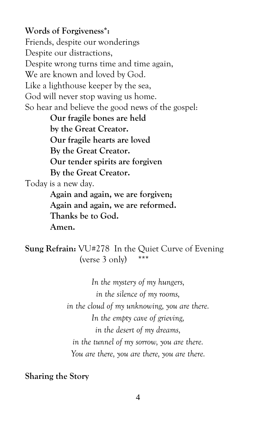#### **Words of Forgiveness\*:**

Friends, despite our wonderings Despite our distractions, Despite wrong turns time and time again, We are known and loved by God. Like a lighthouse keeper by the sea, God will never stop waving us home. So hear and believe the good news of the gospel:

**Our fragile bones are held by the Great Creator. Our fragile hearts are loved By the Great Creator. Our tender spirits are forgiven By the Great Creator.** Today is a new day. **Again and again, we are forgiven;**

**Again and again, we are reformed. Thanks be to God. Amen.**

**Sung Refrain:** VU#278 In the Quiet Curve of Evening (verse  $3$  only) \*\*\*

> *In the mystery of my hungers, in the silence of my rooms, in the cloud of my unknowing, you are there. In the empty cave of grieving, in the desert of my dreams, in the tunnel of my sorrow, you are there. You are there, you are there, you are there.*

**Sharing the Story**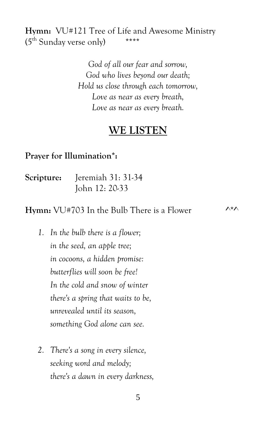**Hymn:** VU#121 Tree of Life and Awesome Ministry  $(5<sup>th</sup>$  Sunday verse only) \*\*\*\*

> *God of all our fear and sorrow, God who lives beyond our death; Hold us close through each tomorrow, Love as near as every breath, Love as near as every breath.*

### **WE LISTEN**

#### **Prayer for Illumination\*:**

| Scripture: | Jeremiah 31: 31-34 |
|------------|--------------------|
|            | John 12: 20-33     |

**Hymn:** VU#703 In the Bulb There is a Flower ^\*^

- *1. In the bulb there is a flower; in the seed, an apple tree; in cocoons, a hidden promise: butterflies will soon be free! In the cold and snow of winter there's a spring that waits to be, unrevealed until its season, something God alone can see.*
- *2. There's a song in every silence, seeking word and melody; there's a dawn in every darkness,*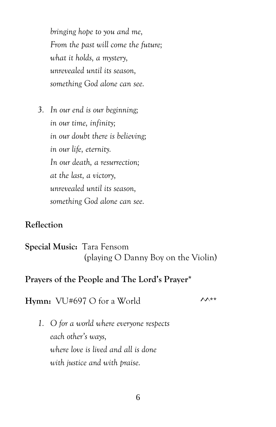*bringing hope to you and me, From the past will come the future; what it holds, a mystery, unrevealed until its season, something God alone can see.*

*3. In our end is our beginning; in our time, infinity; in our doubt there is believing; in our life, eternity. In our death, a resurrection; at the last, a victory, unrevealed until its season, something God alone can see.*

#### **Reflection**

**Special Music:** Tara Fensom (playing O Danny Boy on the Violin)

#### **Prayers of the People and The Lord's Prayer\***

**Hymn:**  $VU#697$  O for a World  $\lambda^{**}$ 

*1. O for a world where everyone respects each other's ways, where love is lived and all is done with justice and with praise.*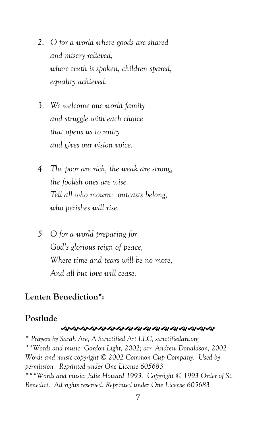- *2. O for a world where goods are shared and misery relieved, where truth is spoken, children spared, equality achieved.*
- *3. We welcome one world family and struggle with each choice that opens us to unity and gives our vision voice.*
- *4. The poor are rich, the weak are strong, the foolish ones are wise. Tell all who mourn: outcasts belong, who perishes will rise.*
- *5. O for a world preparing for God's glorious reign of peace, Where time and tears will be no more, And all but love will cease.*

#### **Lenten Benediction\*:**

#### **Postlude**

#### **ର୍ଦ୍ଧରଶ୍ୟକର୍ୟକର୍ୟିକ୍ୟକ୍ୟକ୍ୟକ୍ୟକ**

*\* Prayers by Sarah Are, A Sanctified Art LLC, sanctifiedart.org \*\*Words and music: Gordon Light, 2002; arr. Andrew Donaldson, 2002 Words and music copyright © 2002 Common Cup Company. Used by permission. Reprinted under One License 605683 \*\*\*Words and music: Julie Howard 1993. Copyright © 1993 Order of St. Benedict. All rights reserved. Reprinted under One License 605683*